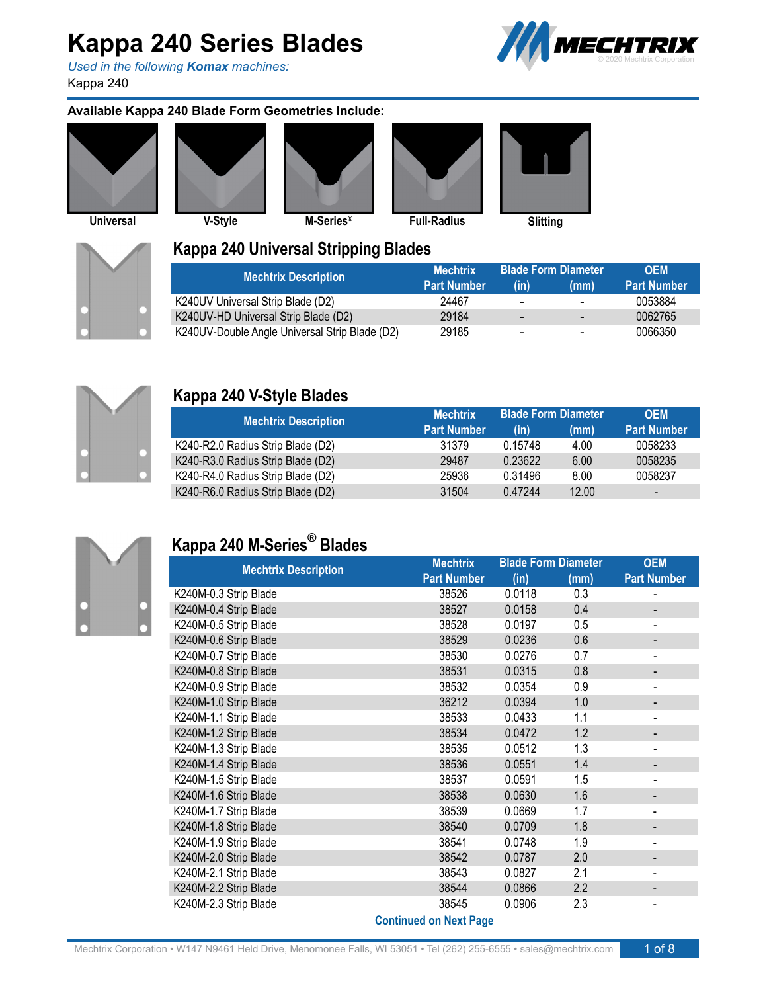*Used in the following Komax machines:* Kappa 240



#### **Available Kappa 240 Blade Form Geometries Include:**













### **Kappa 240 Universal Stripping Blades**

| <b>Mechtrix Description</b>                    | <b>Mechtrix</b>    |                          | <b>Blade Form Diameter I</b> ) ا | <b>OFM</b>         |
|------------------------------------------------|--------------------|--------------------------|----------------------------------|--------------------|
|                                                | <b>Part Number</b> | (in)                     | (mm)                             | <b>Part Number</b> |
| K240UV Universal Strip Blade (D2)              | 24467              | $\overline{\phantom{0}}$ | $\overline{\phantom{0}}$         | 0053884            |
| K240UV-HD Universal Strip Blade (D2)           | 29184              | $\overline{\phantom{0}}$ | $\overline{\phantom{0}}$         | 0062765            |
| K240UV-Double Angle Universal Strip Blade (D2) | 29185              | $\blacksquare$           | $\overline{\phantom{0}}$         | 0066350            |



### **Kappa 240 V-Style Blades**

| <b>Mechtrix Description</b>       | <b>Mechtrix</b>    |         | <b>Blade Form Diameter</b> | <b>OEM</b>               |
|-----------------------------------|--------------------|---------|----------------------------|--------------------------|
|                                   | <b>Part Number</b> | (in)    | (mm)                       | <b>Part Number</b>       |
| K240-R2.0 Radius Strip Blade (D2) | 31379              | 0.15748 | 4.00                       | 0058233                  |
| K240-R3.0 Radius Strip Blade (D2) | 29487              | 0.23622 | 6.00                       | 0058235                  |
| K240-R4.0 Radius Strip Blade (D2) | 25936              | 0.31496 | 8.00                       | 0058237                  |
| K240-R6.0 Radius Strip Blade (D2) | 31504              | 0.47244 | 12.00                      | $\overline{\phantom{a}}$ |



### **Kappa 240 M-Series ® Blades**

| <b>Mechtrix Description</b> | <b>Mechtrix</b>               | <b>Blade Form Diameter</b> |      | <b>OEM</b>                   |
|-----------------------------|-------------------------------|----------------------------|------|------------------------------|
|                             | <b>Part Number</b>            | (in)                       | (mm) | <b>Part Number</b>           |
| K240M-0.3 Strip Blade       | 38526                         | 0.0118                     | 0.3  |                              |
| K240M-0.4 Strip Blade       | 38527                         | 0.0158                     | 0.4  |                              |
| K240M-0.5 Strip Blade       | 38528                         | 0.0197                     | 0.5  | $\qquad \qquad \blacksquare$ |
| K240M-0.6 Strip Blade       | 38529                         | 0.0236                     | 0.6  |                              |
| K240M-0.7 Strip Blade       | 38530                         | 0.0276                     | 0.7  | -                            |
| K240M-0.8 Strip Blade       | 38531                         | 0.0315                     | 0.8  |                              |
| K240M-0.9 Strip Blade       | 38532                         | 0.0354                     | 0.9  | $\overline{\phantom{a}}$     |
| K240M-1.0 Strip Blade       | 36212                         | 0.0394                     | 1.0  |                              |
| K240M-1.1 Strip Blade       | 38533                         | 0.0433                     | 1.1  | $\blacksquare$               |
| K240M-1.2 Strip Blade       | 38534                         | 0.0472                     | 1.2  |                              |
| K240M-1.3 Strip Blade       | 38535                         | 0.0512                     | 1.3  |                              |
| K240M-1.4 Strip Blade       | 38536                         | 0.0551                     | 1.4  |                              |
| K240M-1.5 Strip Blade       | 38537                         | 0.0591                     | 1.5  |                              |
| K240M-1.6 Strip Blade       | 38538                         | 0.0630                     | 1.6  | -                            |
| K240M-1.7 Strip Blade       | 38539                         | 0.0669                     | 1.7  | $\overline{\phantom{a}}$     |
| K240M-1.8 Strip Blade       | 38540                         | 0.0709                     | 1.8  |                              |
| K240M-1.9 Strip Blade       | 38541                         | 0.0748                     | 1.9  | $\qquad \qquad \blacksquare$ |
| K240M-2.0 Strip Blade       | 38542                         | 0.0787                     | 2.0  |                              |
| K240M-2.1 Strip Blade       | 38543                         | 0.0827                     | 2.1  | $\overline{\phantom{a}}$     |
| K240M-2.2 Strip Blade       | 38544                         | 0.0866                     | 2.2  |                              |
| K240M-2.3 Strip Blade       | 38545                         | 0.0906                     | 2.3  | $\overline{\phantom{0}}$     |
|                             | <b>Continued on Next Page</b> |                            |      |                              |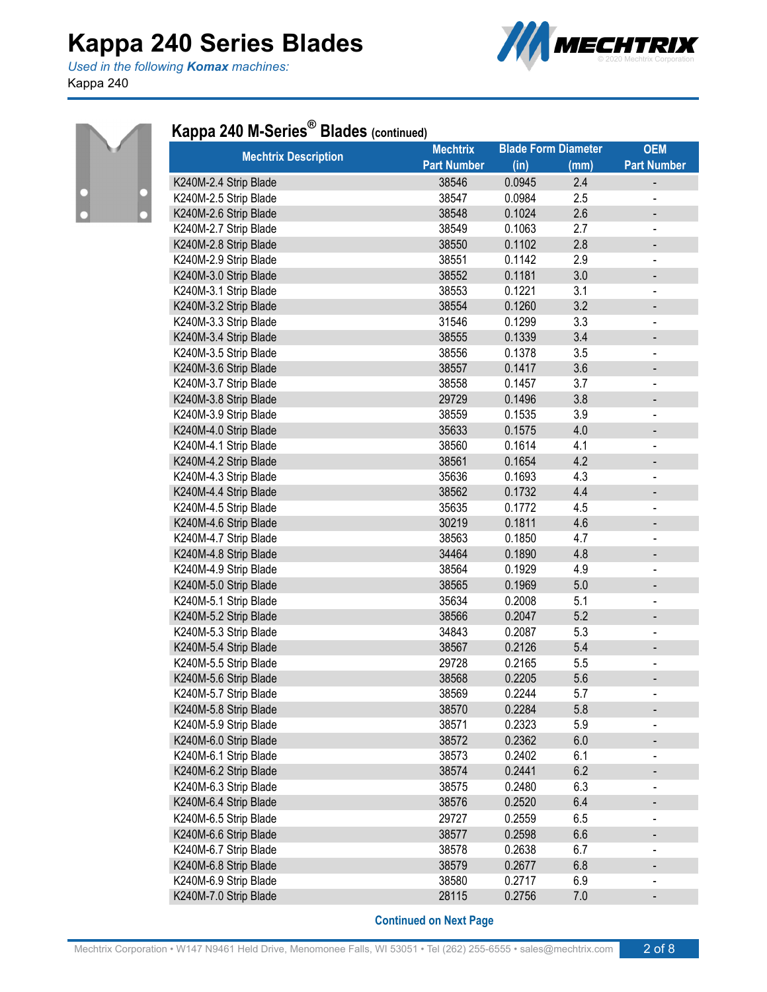*Used in the following Komax machines:* Kappa 240





### **Kappa 240 M-Series ® Blades (continued)**

| <b>Mechtrix Description</b> | <b>Mechtrix</b>    | <b>Blade Form Diameter</b> |      | <b>OEM</b>                   |
|-----------------------------|--------------------|----------------------------|------|------------------------------|
|                             | <b>Part Number</b> | (in)                       | (mm) | <b>Part Number</b>           |
| K240M-2.4 Strip Blade       | 38546              | 0.0945                     | 2.4  |                              |
| K240M-2.5 Strip Blade       | 38547              | 0.0984                     | 2.5  |                              |
| K240M-2.6 Strip Blade       | 38548              | 0.1024                     | 2.6  |                              |
| K240M-2.7 Strip Blade       | 38549              | 0.1063                     | 2.7  | -                            |
| K240M-2.8 Strip Blade       | 38550              | 0.1102                     | 2.8  | $\overline{\phantom{0}}$     |
| K240M-2.9 Strip Blade       | 38551              | 0.1142                     | 2.9  | $\overline{\phantom{0}}$     |
| K240M-3.0 Strip Blade       | 38552              | 0.1181                     | 3.0  | -                            |
| K240M-3.1 Strip Blade       | 38553              | 0.1221                     | 3.1  | $\overline{a}$               |
| K240M-3.2 Strip Blade       | 38554              | 0.1260                     | 3.2  | -                            |
| K240M-3.3 Strip Blade       | 31546              | 0.1299                     | 3.3  | ÷                            |
| K240M-3.4 Strip Blade       | 38555              | 0.1339                     | 3.4  |                              |
| K240M-3.5 Strip Blade       | 38556              | 0.1378                     | 3.5  | $\overline{\phantom{a}}$     |
| K240M-3.6 Strip Blade       | 38557              | 0.1417                     | 3.6  |                              |
| K240M-3.7 Strip Blade       | 38558              | 0.1457                     | 3.7  | -                            |
| K240M-3.8 Strip Blade       | 29729              | 0.1496                     | 3.8  | -                            |
| K240M-3.9 Strip Blade       | 38559              | 0.1535                     | 3.9  | $\overline{\phantom{0}}$     |
| K240M-4.0 Strip Blade       | 35633              | 0.1575                     | 4.0  | -                            |
| K240M-4.1 Strip Blade       | 38560              | 0.1614                     | 4.1  |                              |
| K240M-4.2 Strip Blade       | 38561              | 0.1654                     | 4.2  | $\overline{\phantom{0}}$     |
| K240M-4.3 Strip Blade       | 35636              | 0.1693                     | 4.3  | -                            |
| K240M-4.4 Strip Blade       | 38562              | 0.1732                     | 4.4  | $\overline{\phantom{0}}$     |
| K240M-4.5 Strip Blade       | 35635              | 0.1772                     | 4.5  | $\overline{\phantom{0}}$     |
| K240M-4.6 Strip Blade       | 30219              | 0.1811                     | 4.6  | $\qquad \qquad \blacksquare$ |
| K240M-4.7 Strip Blade       | 38563              | 0.1850                     | 4.7  |                              |
| K240M-4.8 Strip Blade       | 34464              | 0.1890                     | 4.8  |                              |
| K240M-4.9 Strip Blade       | 38564              | 0.1929                     | 4.9  |                              |
| K240M-5.0 Strip Blade       | 38565              | 0.1969                     | 5.0  |                              |
| K240M-5.1 Strip Blade       | 35634              | 0.2008                     | 5.1  | $\qquad \qquad \blacksquare$ |
| K240M-5.2 Strip Blade       | 38566              | 0.2047                     | 5.2  |                              |
| K240M-5.3 Strip Blade       | 34843              | 0.2087                     | 5.3  | $\overline{\phantom{0}}$     |
| K240M-5.4 Strip Blade       | 38567              | 0.2126                     | 5.4  |                              |
| K240M-5.5 Strip Blade       | 29728              | 0.2165                     | 5.5  |                              |
| K240M-5.6 Strip Blade       | 38568              | 0.2205                     | 5.6  | -                            |
| K240M-5.7 Strip Blade       | 38569              | 0.2244                     | 5.7  |                              |
| K240M-5.8 Strip Blade       | 38570              | 0.2284                     | 5.8  |                              |
| K240M-5.9 Strip Blade       | 38571              | 0.2323                     | 5.9  |                              |
| K240M-6.0 Strip Blade       | 38572              | 0.2362                     | 6.0  |                              |
| K240M-6.1 Strip Blade       | 38573              | 0.2402                     | 6.1  |                              |
| K240M-6.2 Strip Blade       | 38574              | 0.2441                     | 6.2  |                              |
| K240M-6.3 Strip Blade       | 38575              | 0.2480                     | 6.3  |                              |
| K240M-6.4 Strip Blade       | 38576              | 0.2520                     | 6.4  |                              |
| K240M-6.5 Strip Blade       | 29727              | 0.2559                     | 6.5  |                              |
| K240M-6.6 Strip Blade       | 38577              | 0.2598                     | 6.6  |                              |
| K240M-6.7 Strip Blade       | 38578              | 0.2638                     | 6.7  | -                            |
| K240M-6.8 Strip Blade       | 38579              | 0.2677                     | 6.8  |                              |
| K240M-6.9 Strip Blade       | 38580              | 0.2717                     | 6.9  |                              |
| K240M-7.0 Strip Blade       | 28115              | 0.2756                     | 7.0  | -                            |
|                             |                    |                            |      |                              |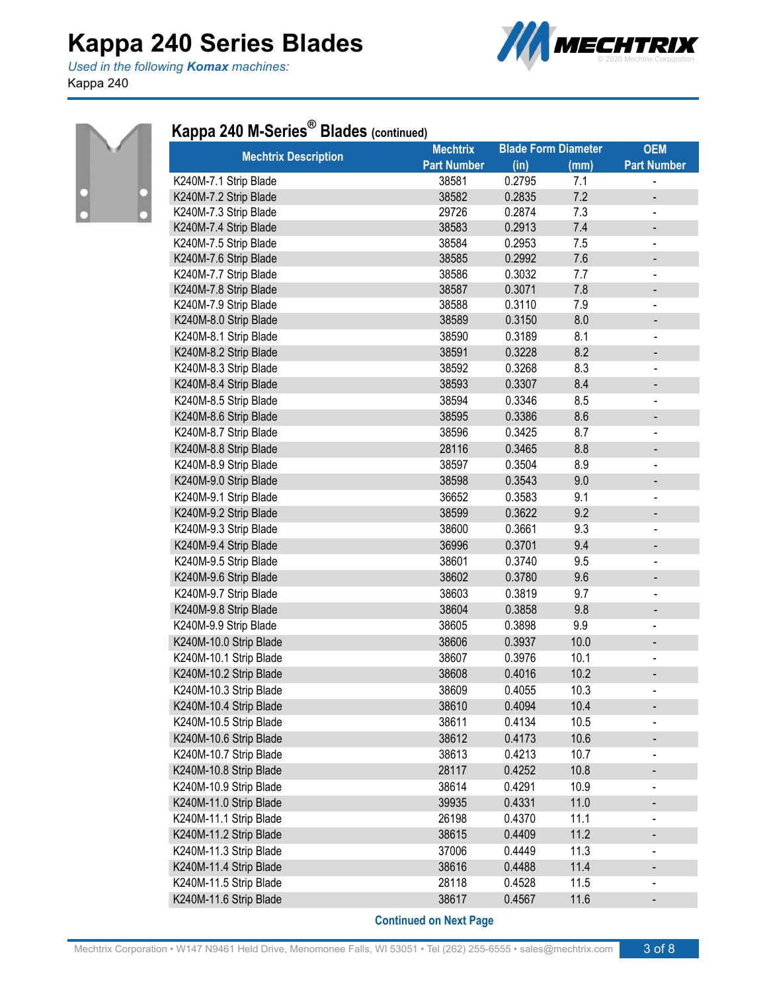*Used in the following Komax machines:* Kappa 240





### **Kappa 240 M-Series ® Blades (continued)**

| <b>Mechtrix Description</b> | <b>Mechtrix</b>    | <b>Blade Form Diameter</b> |      | <b>OEM</b>                   |
|-----------------------------|--------------------|----------------------------|------|------------------------------|
|                             | <b>Part Number</b> | (in)                       | (mm) | <b>Part Number</b>           |
| K240M-7.1 Strip Blade       | 38581              | 0.2795                     | 7.1  |                              |
| K240M-7.2 Strip Blade       | 38582              | 0.2835                     | 7.2  |                              |
| K240M-7.3 Strip Blade       | 29726              | 0.2874                     | 7.3  |                              |
| K240M-7.4 Strip Blade       | 38583              | 0.2913                     | 7.4  | $\qquad \qquad \blacksquare$ |
| K240M-7.5 Strip Blade       | 38584              | 0.2953                     | 7.5  | $\overline{\phantom{0}}$     |
| K240M-7.6 Strip Blade       | 38585              | 0.2992                     | 7.6  |                              |
| K240M-7.7 Strip Blade       | 38586              | 0.3032                     | 7.7  | $\overline{\phantom{a}}$     |
| K240M-7.8 Strip Blade       | 38587              | 0.3071                     | 7.8  | -                            |
| K240M-7.9 Strip Blade       | 38588              | 0.3110                     | 7.9  | $\overline{\phantom{0}}$     |
| K240M-8.0 Strip Blade       | 38589              | 0.3150                     | 8.0  | -                            |
| K240M-8.1 Strip Blade       | 38590              | 0.3189                     | 8.1  | $\overline{\phantom{a}}$     |
| K240M-8.2 Strip Blade       | 38591              | 0.3228                     | 8.2  |                              |
| K240M-8.3 Strip Blade       | 38592              | 0.3268                     | 8.3  | -                            |
| K240M-8.4 Strip Blade       | 38593              | 0.3307                     | 8.4  | -                            |
| K240M-8.5 Strip Blade       | 38594              | 0.3346                     | 8.5  | $\overline{a}$               |
| K240M-8.6 Strip Blade       | 38595              | 0.3386                     | 8.6  | -                            |
| K240M-8.7 Strip Blade       | 38596              | 0.3425                     | 8.7  |                              |
| K240M-8.8 Strip Blade       | 28116              | 0.3465                     | 8.8  | -                            |
| K240M-8.9 Strip Blade       | 38597              | 0.3504                     | 8.9  | -                            |
| K240M-9.0 Strip Blade       | 38598              | 0.3543                     | 9.0  | -                            |
| K240M-9.1 Strip Blade       | 36652              | 0.3583                     | 9.1  |                              |
| K240M-9.2 Strip Blade       | 38599              | 0.3622                     | 9.2  | -                            |
| K240M-9.3 Strip Blade       | 38600              | 0.3661                     | 9.3  | -                            |
| K240M-9.4 Strip Blade       | 36996              | 0.3701                     | 9.4  | -                            |
| K240M-9.5 Strip Blade       | 38601              | 0.3740                     | 9.5  | -                            |
| K240M-9.6 Strip Blade       | 38602              | 0.3780                     | 9.6  |                              |
| K240M-9.7 Strip Blade       | 38603              | 0.3819                     | 9.7  | -                            |
| K240M-9.8 Strip Blade       | 38604              | 0.3858                     | 9.8  | -                            |
| K240M-9.9 Strip Blade       | 38605              | 0.3898                     | 9.9  |                              |
| K240M-10.0 Strip Blade      | 38606              | 0.3937                     | 10.0 | $\qquad \qquad \blacksquare$ |
| K240M-10.1 Strip Blade      | 38607              | 0.3976                     | 10.1 |                              |
| K240M-10.2 Strip Blade      | 38608              | 0.4016                     | 10.2 |                              |
| K240M-10.3 Strip Blade      | 38609              | 0.4055                     | 10.3 | $\qquad \qquad \blacksquare$ |
| K240M-10.4 Strip Blade      | 38610              | 0.4094                     | 10.4 |                              |
| K240M-10.5 Strip Blade      | 38611              | 0.4134                     | 10.5 |                              |
| K240M-10.6 Strip Blade      | 38612              | 0.4173                     | 10.6 | $\qquad \qquad \blacksquare$ |
| K240M-10.7 Strip Blade      | 38613              | 0.4213                     | 10.7 | $\overline{\phantom{a}}$     |
| K240M-10.8 Strip Blade      | 28117              | 0.4252                     | 10.8 |                              |
| K240M-10.9 Strip Blade      | 38614              | 0.4291                     | 10.9 |                              |
| K240M-11.0 Strip Blade      | 39935              | 0.4331                     | 11.0 | -                            |
| K240M-11.1 Strip Blade      | 26198              | 0.4370                     | 11.1 | -                            |
| K240M-11.2 Strip Blade      | 38615              | 0.4409                     | 11.2 | $\overline{\phantom{0}}$     |
| K240M-11.3 Strip Blade      | 37006              | 0.4449                     | 11.3 |                              |
| K240M-11.4 Strip Blade      | 38616              | 0.4488                     | 11.4 |                              |
| K240M-11.5 Strip Blade      | 28118              | 0.4528                     | 11.5 |                              |
| K240M-11.6 Strip Blade      | 38617              | 0.4567                     | 11.6 |                              |
|                             |                    |                            |      |                              |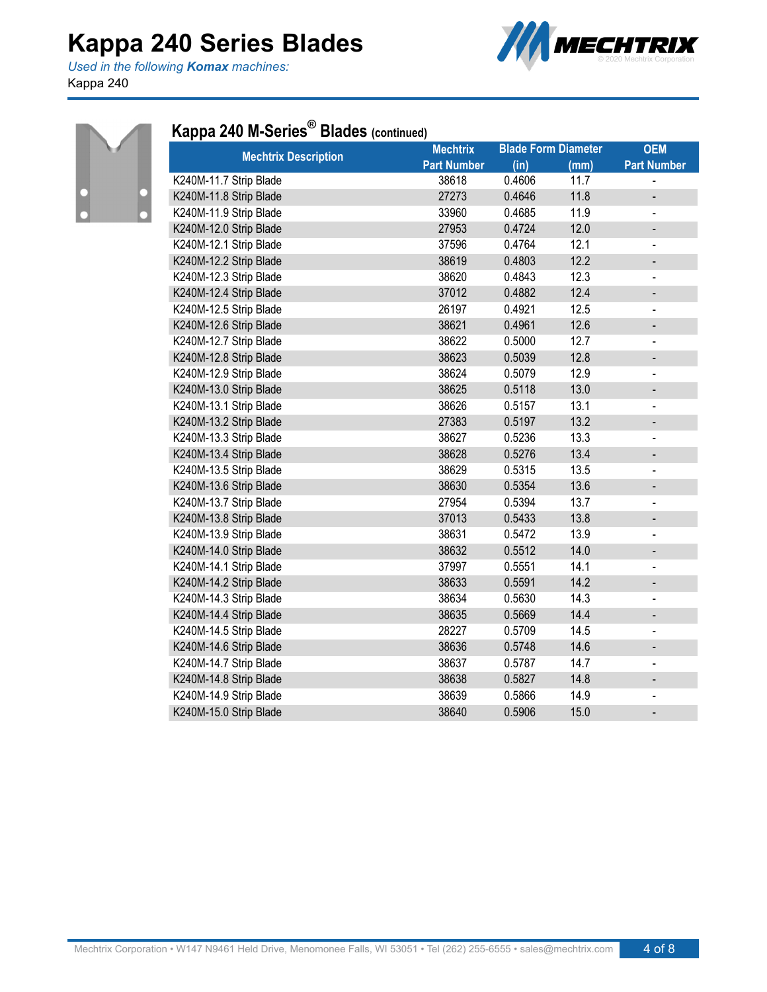*Used in the following Komax machines:* Kappa 240





### **Kappa 240 M-Series ® Blades (continued)**

| <b>Mechtrix Description</b> | <b>Mechtrix</b>    |        | <b>Blade Form Diameter</b> | <b>OEM</b>                   |
|-----------------------------|--------------------|--------|----------------------------|------------------------------|
|                             | <b>Part Number</b> | (in)   | (mm)                       | <b>Part Number</b>           |
| K240M-11.7 Strip Blade      | 38618              | 0.4606 | 11.7                       |                              |
| K240M-11.8 Strip Blade      | 27273              | 0.4646 | 11.8                       | $\overline{\phantom{0}}$     |
| K240M-11.9 Strip Blade      | 33960              | 0.4685 | 11.9                       | $\blacksquare$               |
| K240M-12.0 Strip Blade      | 27953              | 0.4724 | 12.0                       | -                            |
| K240M-12.1 Strip Blade      | 37596              | 0.4764 | 12.1                       | $\blacksquare$               |
| K240M-12.2 Strip Blade      | 38619              | 0.4803 | 12.2                       | $\overline{\phantom{m}}$     |
| K240M-12.3 Strip Blade      | 38620              | 0.4843 | 12.3                       | $\blacksquare$               |
| K240M-12.4 Strip Blade      | 37012              | 0.4882 | 12.4                       | $\qquad \qquad \blacksquare$ |
| K240M-12.5 Strip Blade      | 26197              | 0.4921 | 12.5                       |                              |
| K240M-12.6 Strip Blade      | 38621              | 0.4961 | 12.6                       | $\qquad \qquad \blacksquare$ |
| K240M-12.7 Strip Blade      | 38622              | 0.5000 | 12.7                       | $\blacksquare$               |
| K240M-12.8 Strip Blade      | 38623              | 0.5039 | 12.8                       | $\qquad \qquad \blacksquare$ |
| K240M-12.9 Strip Blade      | 38624              | 0.5079 | 12.9                       | $\blacksquare$               |
| K240M-13.0 Strip Blade      | 38625              | 0.5118 | 13.0                       | $\qquad \qquad \blacksquare$ |
| K240M-13.1 Strip Blade      | 38626              | 0.5157 | 13.1                       | $\overline{\phantom{a}}$     |
| K240M-13.2 Strip Blade      | 27383              | 0.5197 | 13.2                       |                              |
| K240M-13.3 Strip Blade      | 38627              | 0.5236 | 13.3                       | $\blacksquare$               |
| K240M-13.4 Strip Blade      | 38628              | 0.5276 | 13.4                       | $\qquad \qquad \blacksquare$ |
| K240M-13.5 Strip Blade      | 38629              | 0.5315 | 13.5                       | ä,                           |
| K240M-13.6 Strip Blade      | 38630              | 0.5354 | 13.6                       | $\qquad \qquad \blacksquare$ |
| K240M-13.7 Strip Blade      | 27954              | 0.5394 | 13.7                       |                              |
| K240M-13.8 Strip Blade      | 37013              | 0.5433 | 13.8                       | $\overline{\phantom{a}}$     |
| K240M-13.9 Strip Blade      | 38631              | 0.5472 | 13.9                       |                              |
| K240M-14.0 Strip Blade      | 38632              | 0.5512 | 14.0                       | $\qquad \qquad \blacksquare$ |
| K240M-14.1 Strip Blade      | 37997              | 0.5551 | 14.1                       | $\blacksquare$               |
| K240M-14.2 Strip Blade      | 38633              | 0.5591 | 14.2                       | $\overline{\phantom{a}}$     |
| K240M-14.3 Strip Blade      | 38634              | 0.5630 | 14.3                       |                              |
| K240M-14.4 Strip Blade      | 38635              | 0.5669 | 14.4                       | $\overline{\phantom{a}}$     |
| K240M-14.5 Strip Blade      | 28227              | 0.5709 | 14.5                       | $\blacksquare$               |
| K240M-14.6 Strip Blade      | 38636              | 0.5748 | 14.6                       | $\qquad \qquad \blacksquare$ |
| K240M-14.7 Strip Blade      | 38637              | 0.5787 | 14.7                       |                              |
| K240M-14.8 Strip Blade      | 38638              | 0.5827 | 14.8                       | $\qquad \qquad \blacksquare$ |
| K240M-14.9 Strip Blade      | 38639              | 0.5866 | 14.9                       | $\overline{\phantom{0}}$     |
| K240M-15.0 Strip Blade      | 38640              | 0.5906 | 15.0                       | $\qquad \qquad \blacksquare$ |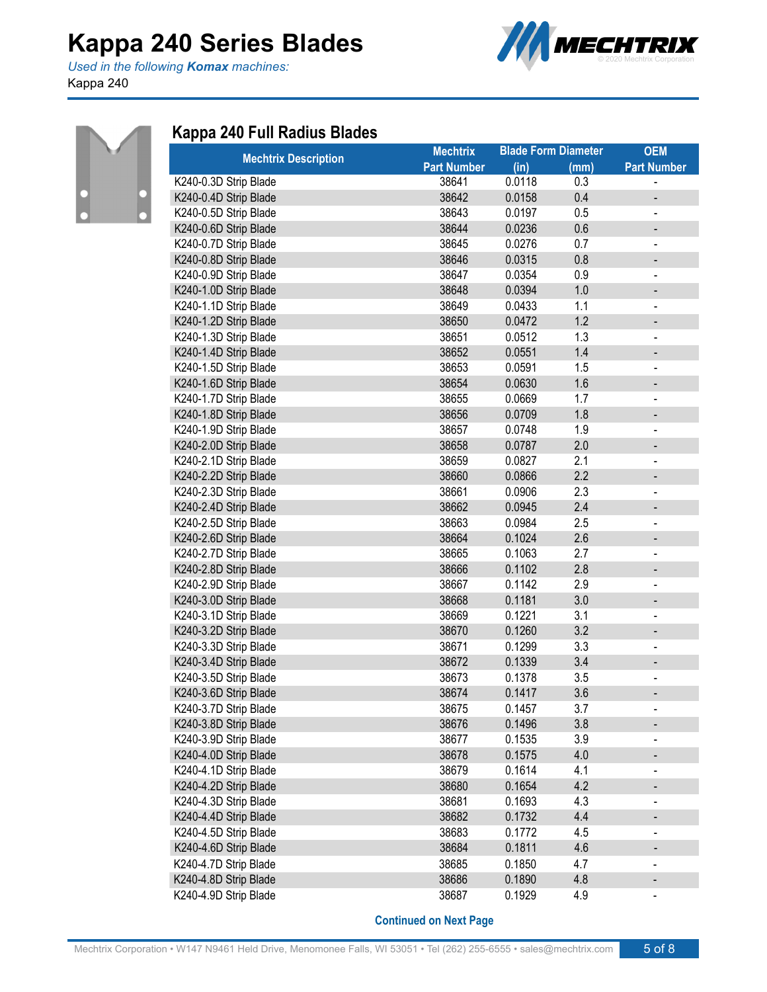*Used in the following Komax machines:* Kappa 240





### **Kappa 240 Full Radius Blades**

| <b>Mechtrix Description</b> | <b>Mechtrix</b>    | <b>Blade Form Diameter</b> |      | <b>OEM</b>                   |
|-----------------------------|--------------------|----------------------------|------|------------------------------|
|                             | <b>Part Number</b> | (in)                       | (mm) | <b>Part Number</b>           |
| K240-0.3D Strip Blade       | 38641              | 0.0118                     | 0.3  |                              |
| K240-0.4D Strip Blade       | 38642              | 0.0158                     | 0.4  |                              |
| K240-0.5D Strip Blade       | 38643              | 0.0197                     | 0.5  | $\qquad \qquad \blacksquare$ |
| K240-0.6D Strip Blade       | 38644              | 0.0236                     | 0.6  |                              |
| K240-0.7D Strip Blade       | 38645              | 0.0276                     | 0.7  | $\overline{\phantom{a}}$     |
| K240-0.8D Strip Blade       | 38646              | 0.0315                     | 0.8  | -                            |
| K240-0.9D Strip Blade       | 38647              | 0.0354                     | 0.9  | $\qquad \qquad \blacksquare$ |
| K240-1.0D Strip Blade       | 38648              | 0.0394                     | 1.0  |                              |
| K240-1.1D Strip Blade       | 38649              | 0.0433                     | 1.1  | $\overline{\phantom{a}}$     |
| K240-1.2D Strip Blade       | 38650              | 0.0472                     | 1.2  |                              |
| K240-1.3D Strip Blade       | 38651              | 0.0512                     | 1.3  | $\qquad \qquad \blacksquare$ |
| K240-1.4D Strip Blade       | 38652              | 0.0551                     | 1.4  |                              |
| K240-1.5D Strip Blade       | 38653              | 0.0591                     | 1.5  |                              |
| K240-1.6D Strip Blade       | 38654              | 0.0630                     | 1.6  | -                            |
| K240-1.7D Strip Blade       | 38655              | 0.0669                     | 1.7  |                              |
| K240-1.8D Strip Blade       | 38656              | 0.0709                     | 1.8  |                              |
| K240-1.9D Strip Blade       | 38657              | 0.0748                     | 1.9  | $\overline{\phantom{a}}$     |
| K240-2.0D Strip Blade       | 38658              | 0.0787                     | 2.0  | $\qquad \qquad \blacksquare$ |
| K240-2.1D Strip Blade       | 38659              | 0.0827                     | 2.1  | $\overline{\phantom{a}}$     |
| K240-2.2D Strip Blade       | 38660              | 0.0866                     | 2.2  | -                            |
| K240-2.3D Strip Blade       | 38661              | 0.0906                     | 2.3  | $\blacksquare$               |
| K240-2.4D Strip Blade       | 38662              | 0.0945                     | 2.4  | -                            |
| K240-2.5D Strip Blade       | 38663              | 0.0984                     | 2.5  | $\qquad \qquad \blacksquare$ |
| K240-2.6D Strip Blade       | 38664              | 0.1024                     | 2.6  | -                            |
| K240-2.7D Strip Blade       | 38665              | 0.1063                     | 2.7  | $\qquad \qquad \blacksquare$ |
| K240-2.8D Strip Blade       | 38666              | 0.1102                     | 2.8  |                              |
| K240-2.9D Strip Blade       | 38667              | 0.1142                     | 2.9  | $\overline{\phantom{a}}$     |
| K240-3.0D Strip Blade       | 38668              | 0.1181                     | 3.0  |                              |
| K240-3.1D Strip Blade       | 38669              | 0.1221                     | 3.1  |                              |
| K240-3.2D Strip Blade       | 38670              | 0.1260                     | 3.2  |                              |
| K240-3.3D Strip Blade       | 38671              | 0.1299                     | 3.3  |                              |
| K240-3.4D Strip Blade       | 38672              | 0.1339                     | 3.4  |                              |
| K240-3.5D Strip Blade       | 38673              | 0.1378                     | 3.5  |                              |
| K240-3.6D Strip Blade       | 38674              | 0.1417                     | 3.6  |                              |
| K240-3.7D Strip Blade       | 38675              | 0.1457                     | 3.7  |                              |
| K240-3.8D Strip Blade       | 38676              | 0.1496                     | 3.8  |                              |
| K240-3.9D Strip Blade       | 38677              | 0.1535                     | 3.9  | $\qquad \qquad \blacksquare$ |
| K240-4.0D Strip Blade       | 38678              | 0.1575                     | 4.0  |                              |
| K240-4.1D Strip Blade       | 38679              | 0.1614                     | 4.1  | $\qquad \qquad \blacksquare$ |
| K240-4.2D Strip Blade       | 38680              | 0.1654                     | 4.2  |                              |
| K240-4.3D Strip Blade       | 38681              | 0.1693                     | 4.3  | $\qquad \qquad \blacksquare$ |
| K240-4.4D Strip Blade       | 38682              | 0.1732                     | 4.4  |                              |
| K240-4.5D Strip Blade       | 38683              | 0.1772                     | 4.5  | $\overline{\phantom{a}}$     |
| K240-4.6D Strip Blade       | 38684              | 0.1811                     | 4.6  |                              |
| K240-4.7D Strip Blade       | 38685              | 0.1850                     | 4.7  |                              |
| K240-4.8D Strip Blade       | 38686              | 0.1890                     | 4.8  |                              |
| K240-4.9D Strip Blade       | 38687              | 0.1929                     | 4.9  |                              |
|                             |                    |                            |      |                              |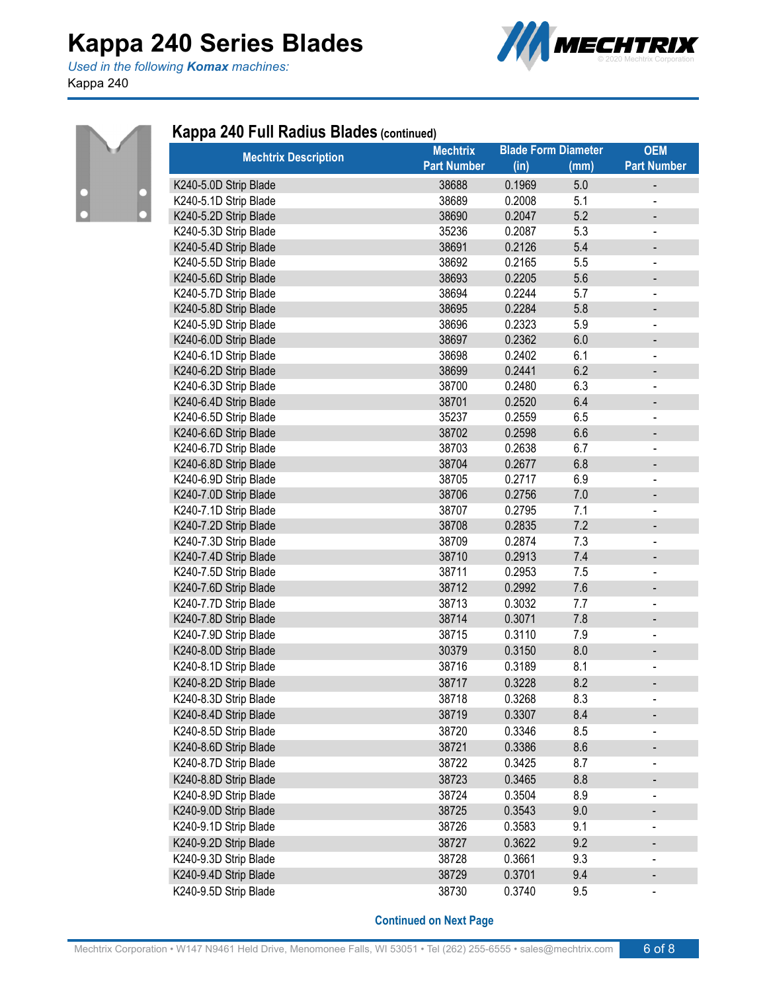*Used in the following Komax machines:* Kappa 240





#### **Kappa 240 Full Radius Blades (continued)**

| <b>Mechtrix Description</b> | <b>Mechtrix</b>    |        | <b>Blade Form Diameter</b> | <b>OEM</b>                   |
|-----------------------------|--------------------|--------|----------------------------|------------------------------|
|                             | <b>Part Number</b> | (in)   | (mm)                       | <b>Part Number</b>           |
| K240-5.0D Strip Blade       | 38688              | 0.1969 | 5.0                        | -                            |
| K240-5.1D Strip Blade       | 38689              | 0.2008 | 5.1                        |                              |
| K240-5.2D Strip Blade       | 38690              | 0.2047 | 5.2                        | $\qquad \qquad \blacksquare$ |
| K240-5.3D Strip Blade       | 35236              | 0.2087 | 5.3                        |                              |
| K240-5.4D Strip Blade       | 38691              | 0.2126 | 5.4                        | -                            |
| K240-5.5D Strip Blade       | 38692              | 0.2165 | 5.5                        | $\qquad \qquad \blacksquare$ |
| K240-5.6D Strip Blade       | 38693              | 0.2205 | 5.6                        | -                            |
| K240-5.7D Strip Blade       | 38694              | 0.2244 | 5.7                        | $\qquad \qquad \blacksquare$ |
| K240-5.8D Strip Blade       | 38695              | 0.2284 | 5.8                        | -                            |
| K240-5.9D Strip Blade       | 38696              | 0.2323 | 5.9                        | $\blacksquare$               |
| K240-6.0D Strip Blade       | 38697              | 0.2362 | 6.0                        | -                            |
| K240-6.1D Strip Blade       | 38698              | 0.2402 | 6.1                        | $\overline{\phantom{0}}$     |
| K240-6.2D Strip Blade       | 38699              | 0.2441 | 6.2                        |                              |
| K240-6.3D Strip Blade       | 38700              | 0.2480 | 6.3                        | $\blacksquare$               |
| K240-6.4D Strip Blade       | 38701              | 0.2520 | 6.4                        |                              |
| K240-6.5D Strip Blade       | 35237              | 0.2559 | 6.5                        | $\qquad \qquad \blacksquare$ |
| K240-6.6D Strip Blade       | 38702              | 0.2598 | 6.6                        | -                            |
| K240-6.7D Strip Blade       | 38703              | 0.2638 | 6.7                        | $\overline{\phantom{a}}$     |
| K240-6.8D Strip Blade       | 38704              | 0.2677 | 6.8                        | $\qquad \qquad \blacksquare$ |
| K240-6.9D Strip Blade       | 38705              | 0.2717 | 6.9                        |                              |
| K240-7.0D Strip Blade       | 38706              | 0.2756 | $7.0$                      |                              |
| K240-7.1D Strip Blade       | 38707              | 0.2795 | 7.1                        | $\overline{\phantom{a}}$     |
| K240-7.2D Strip Blade       | 38708              | 0.2835 | 7.2                        | $\qquad \qquad \blacksquare$ |
| K240-7.3D Strip Blade       | 38709              | 0.2874 | 7.3                        | $\qquad \qquad \blacksquare$ |
| K240-7.4D Strip Blade       | 38710              | 0.2913 | 7.4                        | -                            |
| K240-7.5D Strip Blade       | 38711              | 0.2953 | 7.5                        |                              |
| K240-7.6D Strip Blade       | 38712              | 0.2992 | 7.6                        | $\overline{\phantom{0}}$     |
| K240-7.7D Strip Blade       | 38713              | 0.3032 | 7.7                        |                              |
| K240-7.8D Strip Blade       | 38714              | 0.3071 | 7.8                        | -                            |
| K240-7.9D Strip Blade       | 38715              | 0.3110 | 7.9                        | $\blacksquare$               |
| K240-8.0D Strip Blade       | 30379              | 0.3150 | 8.0                        | -                            |
| K240-8.1D Strip Blade       | 38716              | 0.3189 | 8.1                        |                              |
| K240-8.2D Strip Blade       | 38717              | 0.3228 | 8.2                        |                              |
| K240-8.3D Strip Blade       | 38718              | 0.3268 | 8.3                        | $\blacksquare$               |
| K240-8.4D Strip Blade       | 38719              | 0.3307 | 8.4                        | $\qquad \qquad \blacksquare$ |
| K240-8.5D Strip Blade       | 38720              | 0.3346 | 8.5                        |                              |
| K240-8.6D Strip Blade       | 38721              | 0.3386 | 8.6                        |                              |
| K240-8.7D Strip Blade       | 38722              | 0.3425 | 8.7                        |                              |
| K240-8.8D Strip Blade       | 38723              | 0.3465 | 8.8                        | -                            |
| K240-8.9D Strip Blade       | 38724              | 0.3504 | 8.9                        |                              |
| K240-9.0D Strip Blade       | 38725              | 0.3543 | 9.0                        | -                            |
| K240-9.1D Strip Blade       | 38726              | 0.3583 | 9.1                        | $\qquad \qquad \blacksquare$ |
| K240-9.2D Strip Blade       | 38727              | 0.3622 | 9.2                        |                              |
| K240-9.3D Strip Blade       | 38728              | 0.3661 | 9.3                        | $\overline{\phantom{0}}$     |
| K240-9.4D Strip Blade       | 38729              | 0.3701 | 9.4                        |                              |
| K240-9.5D Strip Blade       | 38730              | 0.3740 | 9.5                        | -                            |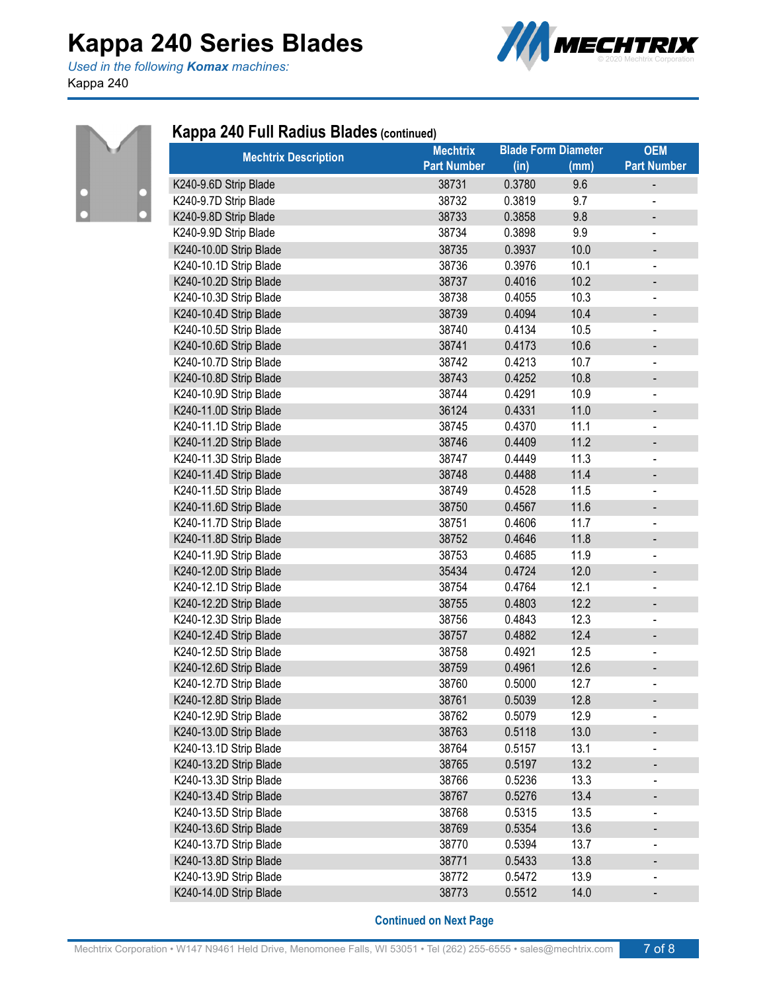*Used in the following Komax machines:* Kappa 240





#### **Kappa 240 Full Radius Blades (continued)**

| <b>Mechtrix Description</b> | <b>Mechtrix</b>    | <b>Blade Form Diameter</b> |      | <b>OEM</b>                   |
|-----------------------------|--------------------|----------------------------|------|------------------------------|
|                             | <b>Part Number</b> | (in)                       | (mm) | <b>Part Number</b>           |
| K240-9.6D Strip Blade       | 38731              | 0.3780                     | 9.6  | $\qquad \qquad \blacksquare$ |
| K240-9.7D Strip Blade       | 38732              | 0.3819                     | 9.7  |                              |
| K240-9.8D Strip Blade       | 38733              | 0.3858                     | 9.8  | -                            |
| K240-9.9D Strip Blade       | 38734              | 0.3898                     | 9.9  | $\blacksquare$               |
| K240-10.0D Strip Blade      | 38735              | 0.3937                     | 10.0 | -                            |
| K240-10.1D Strip Blade      | 38736              | 0.3976                     | 10.1 | -                            |
| K240-10.2D Strip Blade      | 38737              | 0.4016                     | 10.2 | $\overline{\phantom{0}}$     |
| K240-10.3D Strip Blade      | 38738              | 0.4055                     | 10.3 | $\overline{\phantom{0}}$     |
| K240-10.4D Strip Blade      | 38739              | 0.4094                     | 10.4 | -                            |
| K240-10.5D Strip Blade      | 38740              | 0.4134                     | 10.5 | $\overline{\phantom{0}}$     |
| K240-10.6D Strip Blade      | 38741              | 0.4173                     | 10.6 | -                            |
| K240-10.7D Strip Blade      | 38742              | 0.4213                     | 10.7 | $\overline{\phantom{0}}$     |
| K240-10.8D Strip Blade      | 38743              | 0.4252                     | 10.8 | -                            |
| K240-10.9D Strip Blade      | 38744              | 0.4291                     | 10.9 |                              |
| K240-11.0D Strip Blade      | 36124              | 0.4331                     | 11.0 | -                            |
| K240-11.1D Strip Blade      | 38745              | 0.4370                     | 11.1 | -                            |
| K240-11.2D Strip Blade      | 38746              | 0.4409                     | 11.2 | -                            |
| K240-11.3D Strip Blade      | 38747              | 0.4449                     | 11.3 | $\qquad \qquad \blacksquare$ |
| K240-11.4D Strip Blade      | 38748              | 0.4488                     | 11.4 | -                            |
| K240-11.5D Strip Blade      | 38749              | 0.4528                     | 11.5 | $\overline{\phantom{0}}$     |
| K240-11.6D Strip Blade      | 38750              | 0.4567                     | 11.6 | $\overline{\phantom{0}}$     |
| K240-11.7D Strip Blade      | 38751              | 0.4606                     | 11.7 |                              |
| K240-11.8D Strip Blade      | 38752              | 0.4646                     | 11.8 | $\overline{\phantom{0}}$     |
| K240-11.9D Strip Blade      | 38753              | 0.4685                     | 11.9 | -                            |
| K240-12.0D Strip Blade      | 35434              | 0.4724                     | 12.0 | -                            |
| K240-12.1D Strip Blade      | 38754              | 0.4764                     | 12.1 | -                            |
| K240-12.2D Strip Blade      | 38755              | 0.4803                     | 12.2 | -                            |
| K240-12.3D Strip Blade      | 38756              | 0.4843                     | 12.3 |                              |
| K240-12.4D Strip Blade      | 38757              | 0.4882                     | 12.4 | $\qquad \qquad \blacksquare$ |
| K240-12.5D Strip Blade      | 38758              | 0.4921                     | 12.5 | -                            |
| K240-12.6D Strip Blade      | 38759              | 0.4961                     | 12.6 | -                            |
| K240-12.7D Strip Blade      | 38760              | 0.5000                     | 12.7 | -                            |
| K240-12.8D Strip Blade      | 38761              | 0.5039                     | 12.8 |                              |
| K240-12.9D Strip Blade      | 38762              | 0.5079                     | 12.9 | -                            |
| K240-13.0D Strip Blade      | 38763              | 0.5118                     | 13.0 |                              |
| K240-13.1D Strip Blade      | 38764              | 0.5157                     | 13.1 |                              |
| K240-13.2D Strip Blade      | 38765              | 0.5197                     | 13.2 |                              |
| K240-13.3D Strip Blade      | 38766              | 0.5236                     | 13.3 | -                            |
| K240-13.4D Strip Blade      | 38767              | 0.5276                     | 13.4 |                              |
| K240-13.5D Strip Blade      | 38768              | 0.5315                     | 13.5 | -                            |
| K240-13.6D Strip Blade      | 38769              | 0.5354                     | 13.6 |                              |
| K240-13.7D Strip Blade      | 38770              | 0.5394                     | 13.7 |                              |
| K240-13.8D Strip Blade      | 38771              | 0.5433                     | 13.8 | $\qquad \qquad \blacksquare$ |
| K240-13.9D Strip Blade      | 38772              | 0.5472                     | 13.9 |                              |
| K240-14.0D Strip Blade      | 38773              | 0.5512                     | 14.0 |                              |